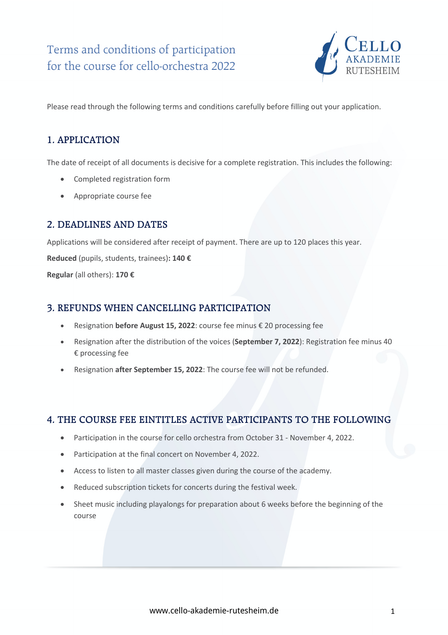

Please read through the following terms and conditions carefully before filling out your application.

## **1. APPLICATION**

The date of receipt of all documents is decisive for a complete registration. This includes the following:

- Completed registration form
- Appropriate course fee

### **2. DEADLINES AND DATES**

Applications will be considered after receipt of payment. There are up to 120 places this year.

**Reduced** (pupils, students, trainees)**: 140 €** 

**Regular** (all others): **170 €**

#### **3. REFUNDS WHEN CANCELLING PARTICIPATION**

- Resignation **before August 15, 2022**: course fee minus € 20 processing fee
- Resignation after the distribution of the voices (**September 7, 2022**): Registration fee minus 40 € processing fee
- Resignation **after September 15, 2022**: The course fee will not be refunded.

# **4. THE COURSE FEE EINTITLES ACTIVE PARTICIPANTS TO THE FOLLOWING**

- Participation in the course for cello orchestra from October 31 November 4, 2022.
- Participation at the final concert on November 4, 2022.
- Access to listen to all master classes given during the course of the academy.
- Reduced subscription tickets for concerts during the festival week.
- Sheet music including playalongs for preparation about 6 weeks before the beginning of the course